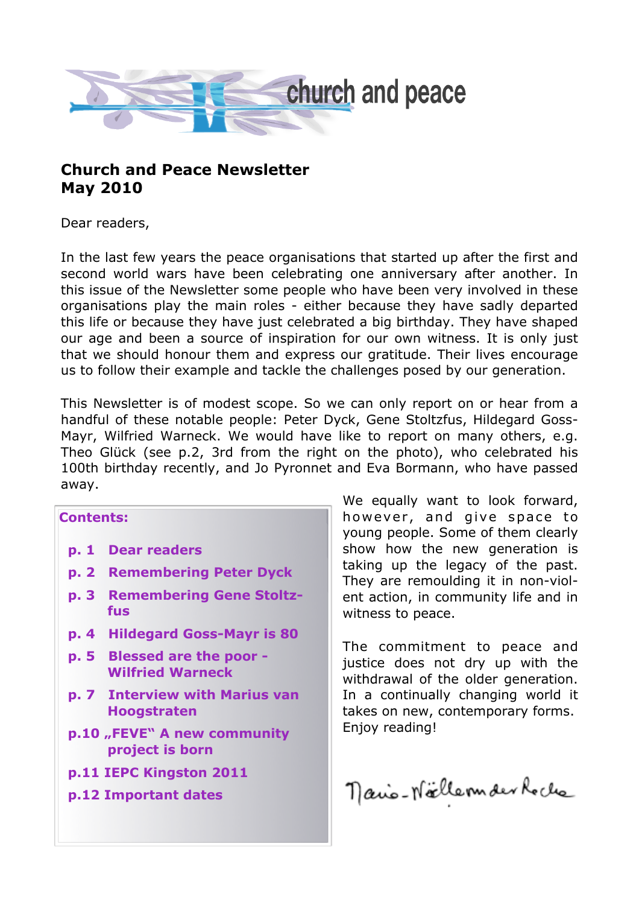

# **Church and Peace Newsletter May 2010**

Dear readers,

In the last few years the peace organisations that started up after the first and second world wars have been celebrating one anniversary after another. In this issue of the Newsletter some people who have been very involved in these organisations play the main roles - either because they have sadly departed this life or because they have just celebrated a big birthday. They have shaped our age and been a source of inspiration for our own witness. It is only just that we should honour them and express our gratitude. Their lives encourage us to follow their example and tackle the challenges posed by our generation.

This Newsletter is of modest scope. So we can only report on or hear from a handful of these notable people: Peter Dyck, Gene Stoltzfus, Hildegard Goss-Mayr, Wilfried Warneck. We would have like to report on many others, e.g. Theo Glück (see p.2, 3rd from the right on the photo), who celebrated his 100th birthday recently, and Jo Pyronnet and Eva Bormann, who have passed away.

#### **Contents:**

- **p. 1 Dear readers**
- **p. 2 Remembering Peter Dyck**
- **p. 3 Remembering Gene Stoltz fus**
- **p. 4 Hildegard Goss-Mayr is 80**
- **p. 5 Blessed are the poor - Wilfried Warneck**
- **p. 7 Interview with Marius van Hoogstraten**
- **p.10 "FEVE" A new community project is born**
- **p.11 IEPC Kingston 2011**
- **p.12 Important dates**

We equally want to look forward, however, and give space to young people. Some of them clearly show how the new generation is taking up the legacy of the past. They are remoulding it in non-violent action, in community life and in witness to peace.

The commitment to peace and justice does not dry up with the withdrawal of the older generation. In a continually changing world it takes on new, contemporary forms. Enjoy reading!

nano-Noellemder Roche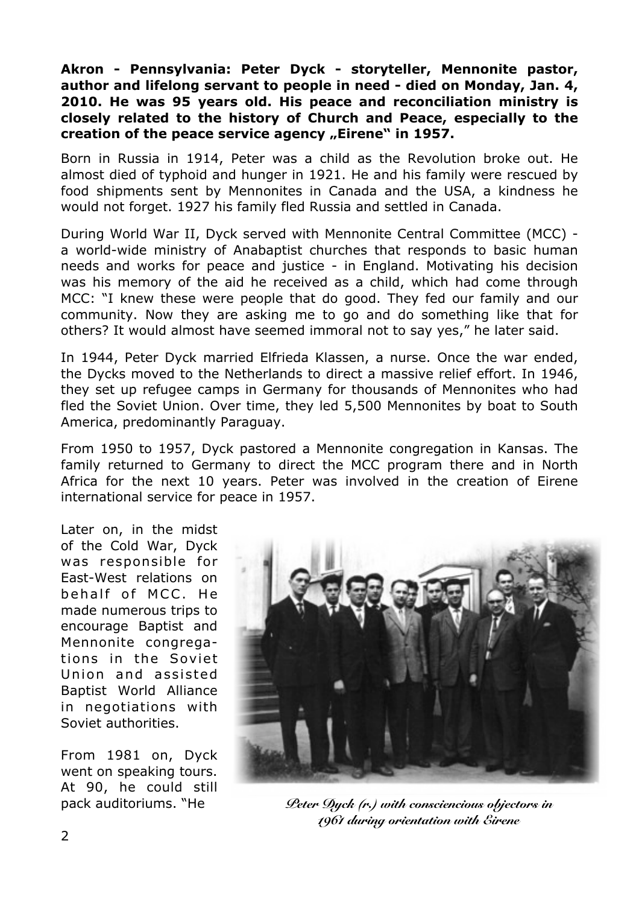**Akron - Pennsylvania: Peter Dyck - storyteller, Mennonite pastor, author and lifelong servant to people in need - died on Monday, Jan. 4, 2010. He was 95 years old. His peace and reconciliation ministry is closely related to the history of Church and Peace, especially to the**  creation of the peace service agency "Eirene" in 1957.

Born in Russia in 1914, Peter was a child as the Revolution broke out. He almost died of typhoid and hunger in 1921. He and his family were rescued by food shipments sent by Mennonites in Canada and the USA, a kindness he would not forget. 1927 his family fled Russia and settled in Canada.

During World War II, Dyck served with Mennonite Central Committee (MCC) a world-wide ministry of Anabaptist churches that responds to basic human needs and works for peace and justice - in England. Motivating his decision was his memory of the aid he received as a child, which had come through MCC: "I knew these were people that do good. They fed our family and our community. Now they are asking me to go and do something like that for others? It would almost have seemed immoral not to say yes," he later said.

In 1944, Peter Dyck married Elfrieda Klassen, a nurse. Once the war ended, the Dycks moved to the Netherlands to direct a massive relief effort. In 1946, they set up refugee camps in Germany for thousands of Mennonites who had fled the Soviet Union. Over time, they led 5,500 Mennonites by boat to South America, predominantly Paraguay.

From 1950 to 1957, Dyck pastored a Mennonite congregation in Kansas. The family returned to Germany to direct the MCC program there and in North Africa for the next 10 years. Peter was involved in the creation of Eirene international service for peace in 1957.

Later on, in the midst of the Cold War, Dyck was responsible for East-West relations on behalf of MCC. He made numerous trips to encourage Baptist and Mennonite congregations in the Soviet Union and assisted Baptist World Alliance in negotiations with Soviet authorities.

From 1981 on, Dyck went on speaking tours. At 90, he could still pack auditoriums. "He



*Peter Dyck (r.) with consciencious objectors in 1961 during orientation with Eirene*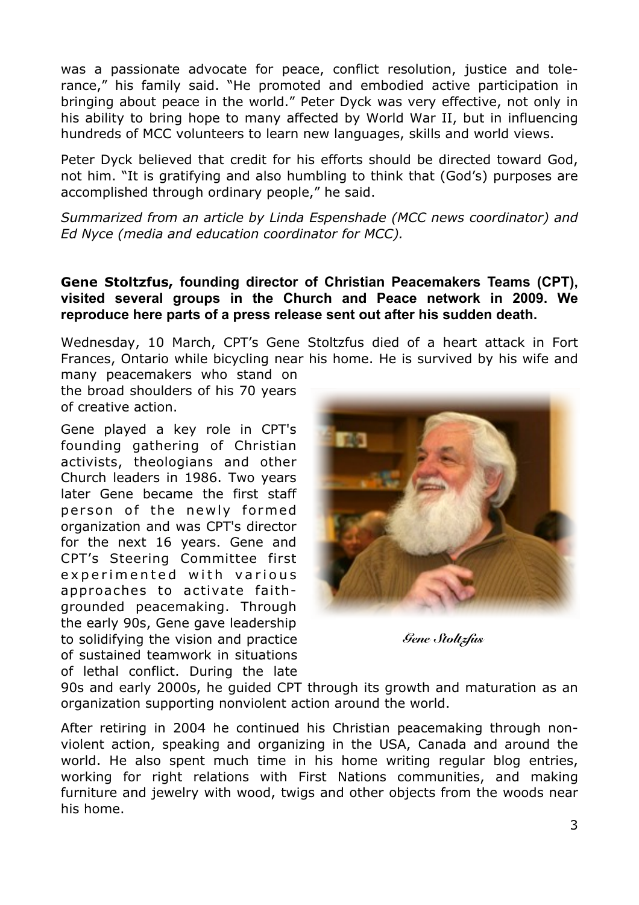was a passionate advocate for peace, conflict resolution, justice and tolerance," his family said. "He promoted and embodied active participation in bringing about peace in the world." Peter Dyck was very effective, not only in his ability to bring hope to many affected by World War II, but in influencing hundreds of MCC volunteers to learn new languages, skills and world views.

Peter Dyck believed that credit for his efforts should be directed toward God, not him. "It is gratifying and also humbling to think that (God's) purposes are accomplished through ordinary people," he said.

*Summarized from an article by Linda Espenshade (MCC news coordinator) and Ed Nyce (media and education coordinator for MCC).*

### **Gene Stoltzfus, founding director of Christian Peacemakers Teams (CPT), visited several groups in the Church and Peace network in 2009. We reproduce here parts of a press release sent out after his sudden death.**

Wednesday, 10 March, CPT's Gene Stoltzfus died of a heart attack in Fort Frances, Ontario while bicycling near his home. He is survived by his wife and

many peacemakers who stand on the broad shoulders of his 70 years of creative action.

Gene played a key role in CPT's founding gathering of Christian activists, theologians and other Church leaders in 1986. Two years later Gene became the first staff person of the newly formed organization and was CPT's director for the next 16 years. Gene and CPT's Steering Committee first experimented with various approaches to activate faithgrounded peacemaking. Through the early 90s, Gene gave leadership to solidifying the vision and practice of sustained teamwork in situations of lethal conflict. During the late



*Gene Stoltzfus*

90s and early 2000s, he guided CPT through its growth and maturation as an organization supporting nonviolent action around the world.

After retiring in 2004 he continued his Christian peacemaking through nonviolent action, speaking and organizing in the USA, Canada and around the world. He also spent much time in his home writing regular blog entries, working for right relations with First Nations communities, and making furniture and jewelry with wood, twigs and other objects from the woods near his home.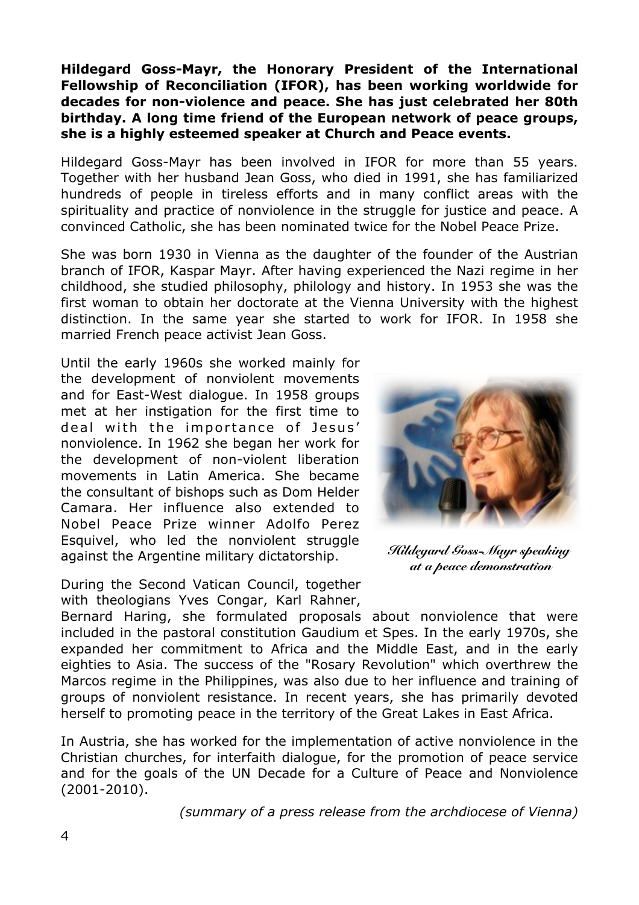### **Hildegard Goss-Mayr, the Honorary President of the International Fellowship of Reconciliation (IFOR), has been working worldwide for decades for non-violence and peace. She has just celebrated her 80th birthday. A long time friend of the European network of peace groups, she is a highly esteemed speaker at Church and Peace events.**

Hildegard Goss-Mayr has been involved in IFOR for more than 55 years. Together with her husband Jean Goss, who died in 1991, she has familiarized hundreds of people in tireless efforts and in many conflict areas with the spirituality and practice of nonviolence in the struggle for justice and peace. A convinced Catholic, she has been nominated twice for the Nobel Peace Prize.

She was born 1930 in Vienna as the daughter of the founder of the Austrian branch of IFOR, Kaspar Mayr. After having experienced the Nazi regime in her childhood, she studied philosophy, philology and history. In 1953 she was the first woman to obtain her doctorate at the Vienna University with the highest distinction. In the same year she started to work for IFOR. In 1958 she married French peace activist Jean Goss.

Until the early 1960s she worked mainly for the development of nonviolent movements and for East-West dialogue. In 1958 groups met at her instigation for the first time to deal with the importance of Jesus' nonviolence. In 1962 she began her work for the development of non-violent liberation movements in Latin America. She became the consultant of bishops such as Dom Helder Camara. Her influence also extended to Nobel Peace Prize winner Adolfo Perez Esquivel, who led the nonviolent struggle against the Argentine military dictatorship.

During the Second Vatican Council, together with theologians Yves Congar, Karl Rahner,



*Hildegard Goss-Mayr speaking at a peace demonstration*

Bernard Haring, she formulated proposals about nonviolence that were included in the pastoral constitution Gaudium et Spes. In the early 1970s, she expanded her commitment to Africa and the Middle East, and in the early eighties to Asia. The success of the "Rosary Revolution" which overthrew the Marcos regime in the Philippines, was also due to her influence and training of groups of nonviolent resistance. In recent years, she has primarily devoted herself to promoting peace in the territory of the Great Lakes in East Africa.

In Austria, she has worked for the implementation of active nonviolence in the Christian churches, for interfaith dialogue, for the promotion of peace service and for the goals of the UN Decade for a Culture of Peace and Nonviolence (2001-2010).

*(summary of a press release from the archdiocese of Vienna)*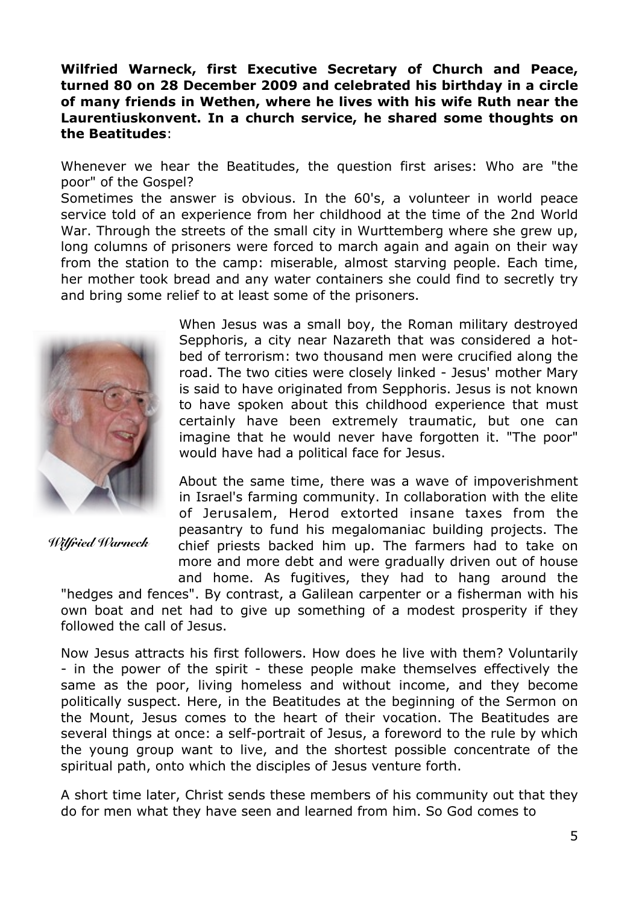### **Wilfried Warneck, first Executive Secretary of Church and Peace, turned 80 on 28 December 2009 and celebrated his birthday in a circle of many friends in Wethen, where he lives with his wife Ruth near the Laurentiuskonvent. In a church service, he shared some thoughts on the Beatitudes**:

Whenever we hear the Beatitudes, the question first arises: Who are "the poor" of the Gospel?

Sometimes the answer is obvious. In the 60's, a volunteer in world peace service told of an experience from her childhood at the time of the 2nd World War. Through the streets of the small city in Wurttemberg where she grew up, long columns of prisoners were forced to march again and again on their way from the station to the camp: miserable, almost starving people. Each time, her mother took bread and any water containers she could find to secretly try and bring some relief to at least some of the prisoners.



*Wilfried Warneck*

When Jesus was a small boy, the Roman military destroyed Sepphoris, a city near Nazareth that was considered a hotbed of terrorism: two thousand men were crucified along the road. The two cities were closely linked - Jesus' mother Mary is said to have originated from Sepphoris. Jesus is not known to have spoken about this childhood experience that must certainly have been extremely traumatic, but one can imagine that he would never have forgotten it. "The poor" would have had a political face for Jesus.

About the same time, there was a wave of impoverishment in Israel's farming community. In collaboration with the elite of Jerusalem, Herod extorted insane taxes from the peasantry to fund his megalomaniac building projects. The chief priests backed him up. The farmers had to take on more and more debt and were gradually driven out of house and home. As fugitives, they had to hang around the

"hedges and fences". By contrast, a Galilean carpenter or a fisherman with his own boat and net had to give up something of a modest prosperity if they followed the call of Jesus.

Now Jesus attracts his first followers. How does he live with them? Voluntarily - in the power of the spirit - these people make themselves effectively the same as the poor, living homeless and without income, and they become politically suspect. Here, in the Beatitudes at the beginning of the Sermon on the Mount, Jesus comes to the heart of their vocation. The Beatitudes are several things at once: a self-portrait of Jesus, a foreword to the rule by which the young group want to live, and the shortest possible concentrate of the spiritual path, onto which the disciples of Jesus venture forth.

A short time later, Christ sends these members of his community out that they do for men what they have seen and learned from him. So God comes to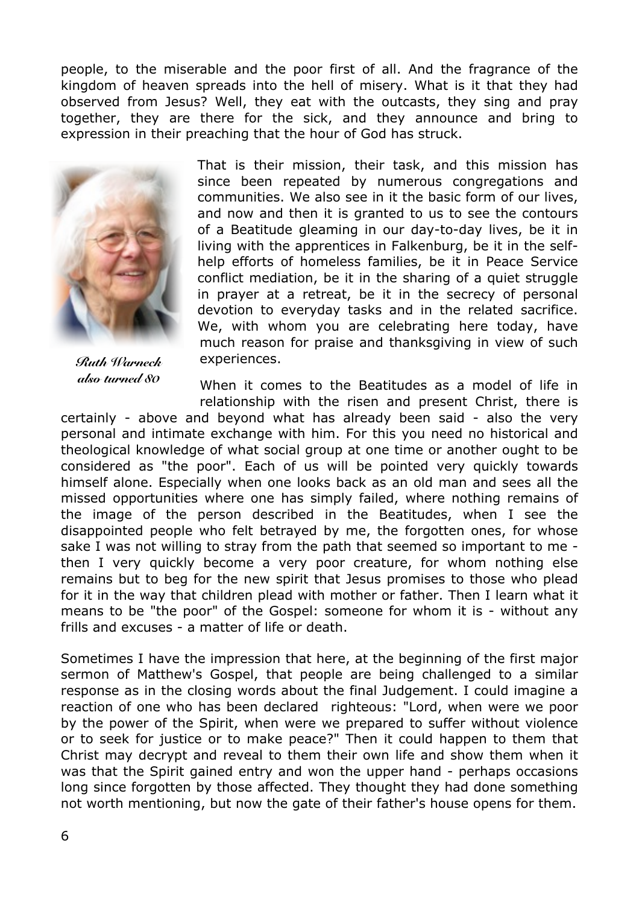people, to the miserable and the poor first of all. And the fragrance of the kingdom of heaven spreads into the hell of misery. What is it that they had observed from Jesus? Well, they eat with the outcasts, they sing and pray together, they are there for the sick, and they announce and bring to expression in their preaching that the hour of God has struck.



*Ruth Warneck also turned 80*

That is their mission, their task, and this mission has since been repeated by numerous congregations and communities. We also see in it the basic form of our lives, and now and then it is granted to us to see the contours of a Beatitude gleaming in our day-to-day lives, be it in living with the apprentices in Falkenburg, be it in the selfhelp efforts of homeless families, be it in Peace Service conflict mediation, be it in the sharing of a quiet struggle in prayer at a retreat, be it in the secrecy of personal devotion to everyday tasks and in the related sacrifice. We, with whom you are celebrating here today, have much reason for praise and thanksgiving in view of such experiences.

When it comes to the Beatitudes as a model of life in relationship with the risen and present Christ, there is

certainly - above and beyond what has already been said - also the very personal and intimate exchange with him. For this you need no historical and theological knowledge of what social group at one time or another ought to be considered as "the poor". Each of us will be pointed very quickly towards himself alone. Especially when one looks back as an old man and sees all the missed opportunities where one has simply failed, where nothing remains of the image of the person described in the Beatitudes, when I see the disappointed people who felt betrayed by me, the forgotten ones, for whose sake I was not willing to stray from the path that seemed so important to me then I very quickly become a very poor creature, for whom nothing else remains but to beg for the new spirit that Jesus promises to those who plead for it in the way that children plead with mother or father. Then I learn what it means to be "the poor" of the Gospel: someone for whom it is - without any frills and excuses - a matter of life or death.

Sometimes I have the impression that here, at the beginning of the first major sermon of Matthew's Gospel, that people are being challenged to a similar response as in the closing words about the final Judgement. I could imagine a reaction of one who has been declared righteous: "Lord, when were we poor by the power of the Spirit, when were we prepared to suffer without violence or to seek for justice or to make peace?" Then it could happen to them that Christ may decrypt and reveal to them their own life and show them when it was that the Spirit gained entry and won the upper hand - perhaps occasions long since forgotten by those affected. They thought they had done something not worth mentioning, but now the gate of their father's house opens for them.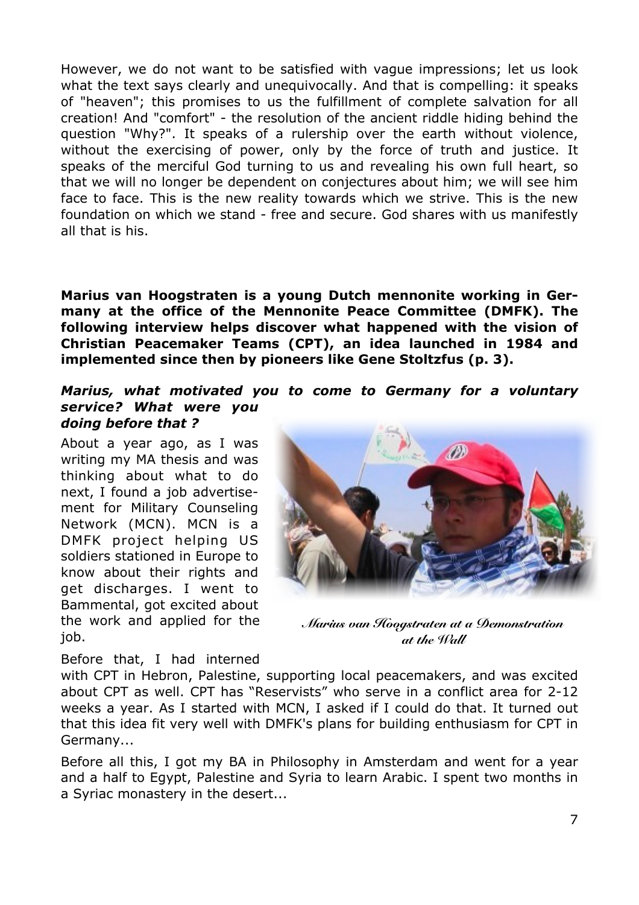However, we do not want to be satisfied with vague impressions; let us look what the text says clearly and unequivocally. And that is compelling: it speaks of "heaven"; this promises to us the fulfillment of complete salvation for all creation! And "comfort" - the resolution of the ancient riddle hiding behind the question "Why?". It speaks of a rulership over the earth without violence, without the exercising of power, only by the force of truth and justice. It speaks of the merciful God turning to us and revealing his own full heart, so that we will no longer be dependent on conjectures about him; we will see him face to face. This is the new reality towards which we strive. This is the new foundation on which we stand - free and secure. God shares with us manifestly all that is his.

**Marius van Hoogstraten is a young Dutch mennonite working in Germany at the office of the Mennonite Peace Committee (DMFK). The following interview helps discover what happened with the vision of Christian Peacemaker Teams (CPT), an idea launched in 1984 and implemented since then by pioneers like Gene Stoltzfus (p. 3).** 

#### *Marius, what motivated you to come to Germany for a voluntary service? What were you doing before that ?*

About a year ago, as I was writing my MA thesis and was thinking about what to do next, I found a job advertisement for Military Counseling Network (MCN). MCN is a DMFK project helping US soldiers stationed in Europe to know about their rights and get discharges. I went to Bammental, got excited about the work and applied for the job.

Before that, I had interned

<u>M</u>

*Marius van Hoogstraten at a Demonstration at the Wall*

with CPT in Hebron, Palestine, supporting local peacemakers, and was excited about CPT as well. CPT has "Reservists" who serve in a conflict area for 2-12 weeks a year. As I started with MCN, I asked if I could do that. It turned out that this idea fit very well with DMFK's plans for building enthusiasm for CPT in Germany...

Before all this, I got my BA in Philosophy in Amsterdam and went for a year and a half to Egypt, Palestine and Syria to learn Arabic. I spent two months in a Syriac monastery in the desert...

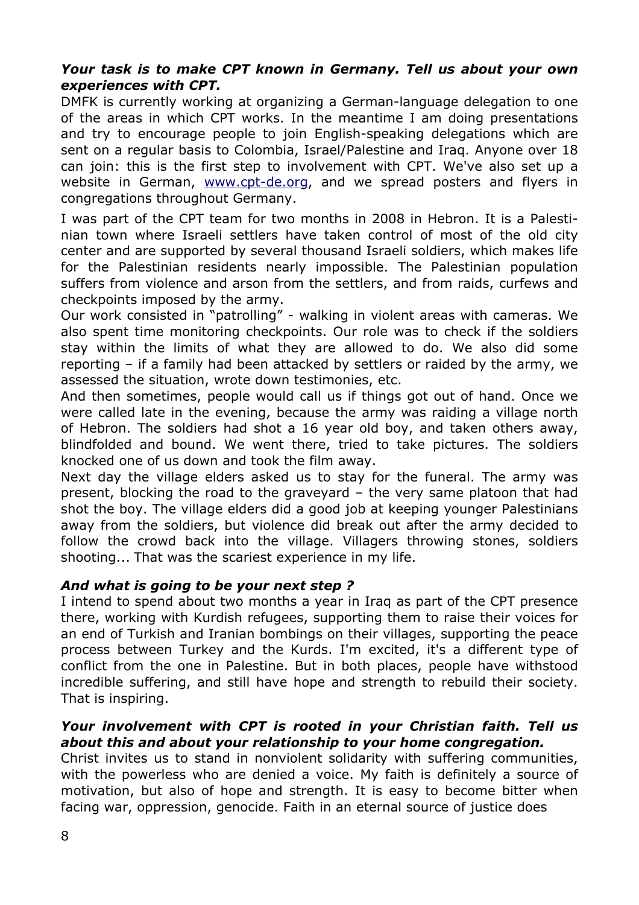### *Your task is to make CPT known in Germany. Tell us about your own experiences with CPT.*

DMFK is currently working at organizing a German-language delegation to one of the areas in which CPT works. In the meantime I am doing presentations and try to encourage people to join English-speaking delegations which are sent on a regular basis to Colombia, Israel/Palestine and Iraq. Anyone over 18 can join: this is the first step to involvement with CPT. We've also set up a website in German, [www.cpt-de.org,](http://www.cpt-de.org/) and we spread posters and flyers in congregations throughout Germany.

I was part of the CPT team for two months in 2008 in Hebron. It is a Palestinian town where Israeli settlers have taken control of most of the old city center and are supported by several thousand Israeli soldiers, which makes life for the Palestinian residents nearly impossible. The Palestinian population suffers from violence and arson from the settlers, and from raids, curfews and checkpoints imposed by the army.

Our work consisted in "patrolling" - walking in violent areas with cameras. We also spent time monitoring checkpoints. Our role was to check if the soldiers stay within the limits of what they are allowed to do. We also did some reporting – if a family had been attacked by settlers or raided by the army, we assessed the situation, wrote down testimonies, etc.

And then sometimes, people would call us if things got out of hand. Once we were called late in the evening, because the army was raiding a village north of Hebron. The soldiers had shot a 16 year old boy, and taken others away, blindfolded and bound. We went there, tried to take pictures. The soldiers knocked one of us down and took the film away.

Next day the village elders asked us to stay for the funeral. The army was present, blocking the road to the graveyard – the very same platoon that had shot the boy. The village elders did a good job at keeping younger Palestinians away from the soldiers, but violence did break out after the army decided to follow the crowd back into the village. Villagers throwing stones, soldiers shooting... That was the scariest experience in my life.

## *And what is going to be your next step ?*

I intend to spend about two months a year in Iraq as part of the CPT presence there, working with Kurdish refugees, supporting them to raise their voices for an end of Turkish and Iranian bombings on their villages, supporting the peace process between Turkey and the Kurds. I'm excited, it's a different type of conflict from the one in Palestine. But in both places, people have withstood incredible suffering, and still have hope and strength to rebuild their society. That is inspiring.

## *Your involvement with CPT is rooted in your Christian faith. Tell us about this and about your relationship to your home congregation.*

Christ invites us to stand in nonviolent solidarity with suffering communities, with the powerless who are denied a voice. My faith is definitely a source of motivation, but also of hope and strength. It is easy to become bitter when facing war, oppression, genocide. Faith in an eternal source of justice does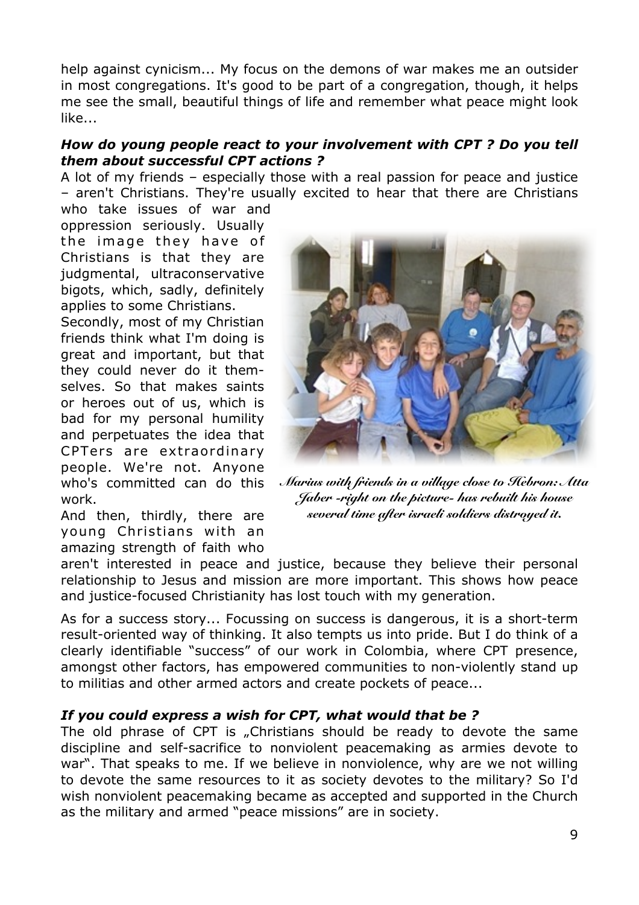help against cynicism... My focus on the demons of war makes me an outsider in most congregations. It's good to be part of a congregation, though, it helps me see the small, beautiful things of life and remember what peace might look like...

### *How do young people react to your involvement with CPT ? Do you tell them about successful CPT actions ?*

A lot of my friends – especially those with a real passion for peace and justice – aren't Christians. They're usually excited to hear that there are Christians

who take issues of war and oppression seriously. Usually the image they have of Christians is that they are judgmental, ultraconservative bigots, which, sadly, definitely applies to some Christians.

Secondly, most of my Christian friends think what I'm doing is great and important, but that they could never do it themselves. So that makes saints or heroes out of us, which is bad for my personal humility and perpetuates the idea that CPTers are extraordinary people. We're not. Anyone who's committed can do this work.

And then, thirdly, there are young Christians with an amazing strength of faith who



*Marius with friends in a village close to Hebron: Atta Jaber -right on the picture- has rebuilt his house several time after israeli soldiers distroyed it.*

aren't interested in peace and justice, because they believe their personal relationship to Jesus and mission are more important. This shows how peace and justice-focused Christianity has lost touch with my generation.

As for a success story... Focussing on success is dangerous, it is a short-term result-oriented way of thinking. It also tempts us into pride. But I do think of a clearly identifiable "success" of our work in Colombia, where CPT presence, amongst other factors, has empowered communities to non-violently stand up to militias and other armed actors and create pockets of peace...

## *If you could express a wish for CPT, what would that be ?*

The old phrase of CPT is "Christians should be ready to devote the same discipline and self-sacrifice to nonviolent peacemaking as armies devote to war". That speaks to me. If we believe in nonviolence, why are we not willing to devote the same resources to it as society devotes to the military? So I'd wish nonviolent peacemaking became as accepted and supported in the Church as the military and armed "peace missions" are in society.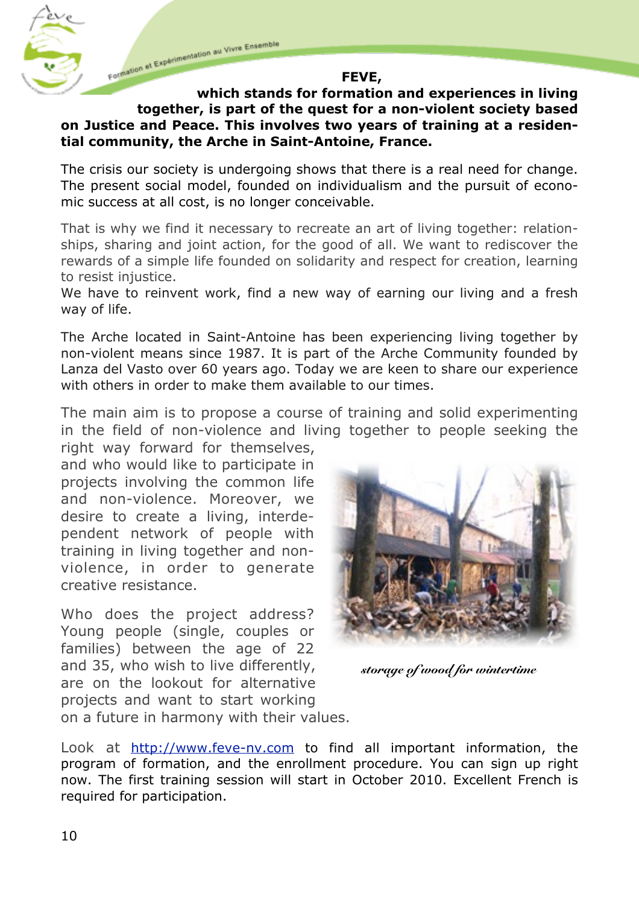Formation et Expérimentation au Vivre Ensemble

#### **FEVE,**

### **which stands for formation and experiences in living together, is part of the quest for a non-violent society based on Justice and Peace. This involves two years of training at a residential community, the Arche in Saint-Antoine, France.**

The crisis our society is undergoing shows that there is a real need for change. The present social model, founded on individualism and the pursuit of economic success at all cost, is no longer conceivable.

That is why we find it necessary to recreate an art of living together: relationships, sharing and joint action, for the good of all. We want to rediscover the rewards of a simple life founded on solidarity and respect for creation, learning to resist injustice.

We have to reinvent work, find a new way of earning our living and a fresh way of life.

The Arche located in Saint-Antoine has been experiencing living together by non-violent means since 1987. It is part of the Arche Community founded by Lanza del Vasto over 60 years ago. Today we are keen to share our experience with others in order to make them available to our times.

The main aim is to propose a course of training and solid experimenting in the field of non-violence and living together to people seeking the

right way forward for themselves, and who would like to participate in projects involving the common life and non-violence. Moreover, we desire to create a living, interdependent network of people with training in living together and nonviolence, in order to generate creative resistance.

Who does the project address? Young people (single, couples or families) between the age of 22 and 35, who wish to live differently, are on the lookout for alternative projects and want to start working on a future in harmony with their values.



*storage of wood for wintertime*

Look at <http://www.feve-nv.com>to find all important information, the program of formation, and the enrollment procedure. You can sign up right now. The first training session will start in October 2010. Excellent French is required for participation.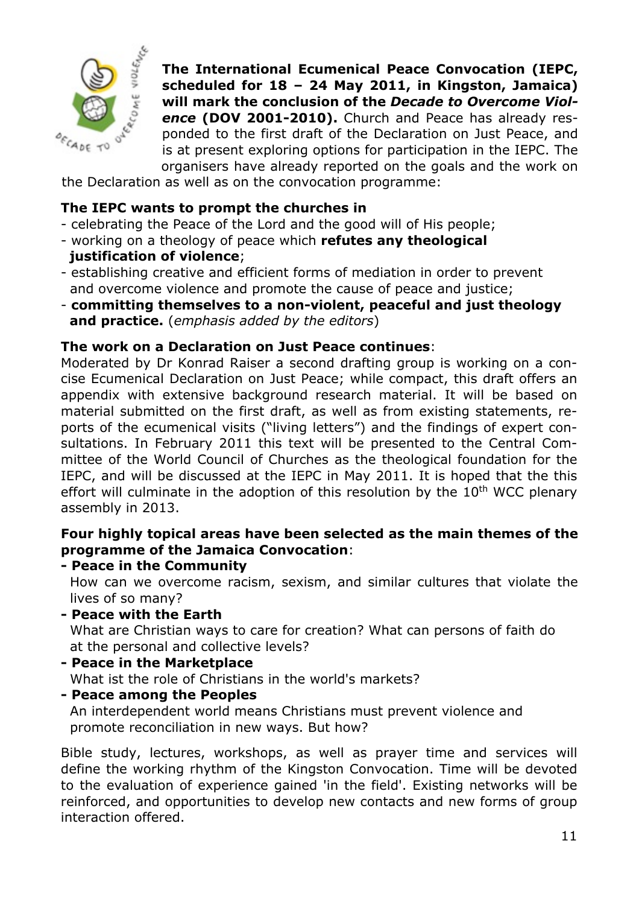

**The International Ecumenical Peace Convocation (IEPC, scheduled for 18 – 24 May 2011, in Kingston, Jamaica) will mark the conclusion of the** *Decade to Overcome Violence* **(DOV 2001-2010).** Church and Peace has already responded to the first draft of the Declaration on Just Peace, and is at present exploring options for participation in the IEPC. The organisers have already reported on the goals and the work on

the Declaration as well as on the convocation programme:

### **The IEPC wants to prompt the churches in**

- celebrating the Peace of the Lord and the good will of His people;
- working on a theology of peace which **refutes any theological justification of violence**;
- establishing creative and efficient forms of mediation in order to prevent and overcome violence and promote the cause of peace and justice;
- **committing themselves to a non-violent, peaceful and just theology and practice.** (*emphasis added by the editors*)

### **The work on a Declaration on Just Peace continues**:

Moderated by Dr Konrad Raiser a second drafting group is working on a concise Ecumenical Declaration on Just Peace; while compact, this draft offers an appendix with extensive background research material. It will be based on material submitted on the first draft, as well as from existing statements, reports of the ecumenical visits ("living letters") and the findings of expert consultations. In February 2011 this text will be presented to the Central Committee of the World Council of Churches as the theological foundation for the IEPC, and will be discussed at the IEPC in May 2011. It is hoped that the this effort will culminate in the adoption of this resolution by the 10<sup>th</sup> WCC plenary assembly in 2013.

## **Four highly topical areas have been selected as the main themes of the programme of the Jamaica Convocation**:

**- Peace in the Community**

How can we overcome racism, sexism, and similar cultures that violate the lives of so many?

**- Peace with the Earth**

What are Christian ways to care for creation? What can persons of faith do at the personal and collective levels?

- **Peace in the Marketplace** What ist the role of Christians in the world's markets?
- **Peace among the Peoples**

An interdependent world means Christians must prevent violence and promote reconciliation in new ways. But how?

Bible study, lectures, workshops, as well as prayer time and services will define the working rhythm of the Kingston Convocation. Time will be devoted to the evaluation of experience gained 'in the field'. Existing networks will be reinforced, and opportunities to develop new contacts and new forms of group interaction offered.